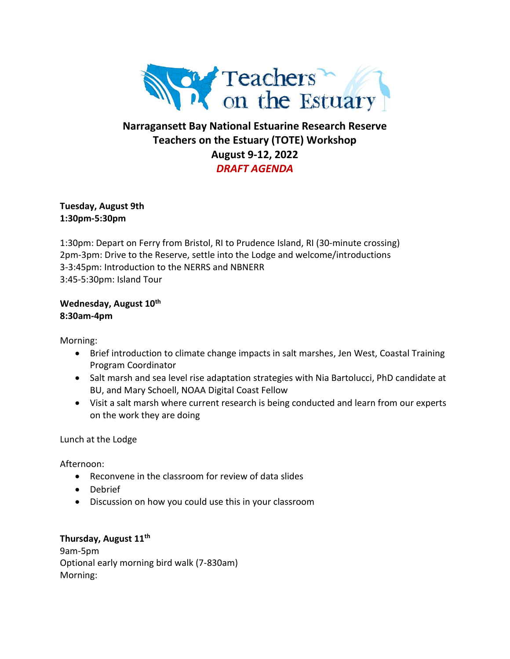

# **Narragansett Bay National Estuarine Research Reserve Teachers on the Estuary (TOTE) Workshop August 9-12, 2022** *DRAFT AGENDA*

**Tuesday, August 9th 1:30pm-5:30pm**

1:30pm: Depart on Ferry from Bristol, RI to Prudence Island, RI (30-minute crossing) 2pm-3pm: Drive to the Reserve, settle into the Lodge and welcome/introductions 3-3:45pm: Introduction to the NERRS and NBNERR 3:45-5:30pm: Island Tour

**Wednesday, August 10 th 8:30am-4pm**

Morning:

- Brief introduction to climate change impacts in salt marshes, Jen West, Coastal Training Program Coordinator
- Salt marsh and sea level rise adaptation strategies with Nia Bartolucci, PhD candidate at BU, and Mary Schoell, NOAA Digital Coast Fellow
- Visit a salt marsh where current research is being conducted and learn from our experts on the work they are doing

Lunch at the Lodge

Afternoon:

- Reconvene in the classroom for review of data slides
- Debrief
- Discussion on how you could use this in your classroom

**Thursday, August 11th** 9am-5pm Optional early morning bird walk (7-830am) Morning: